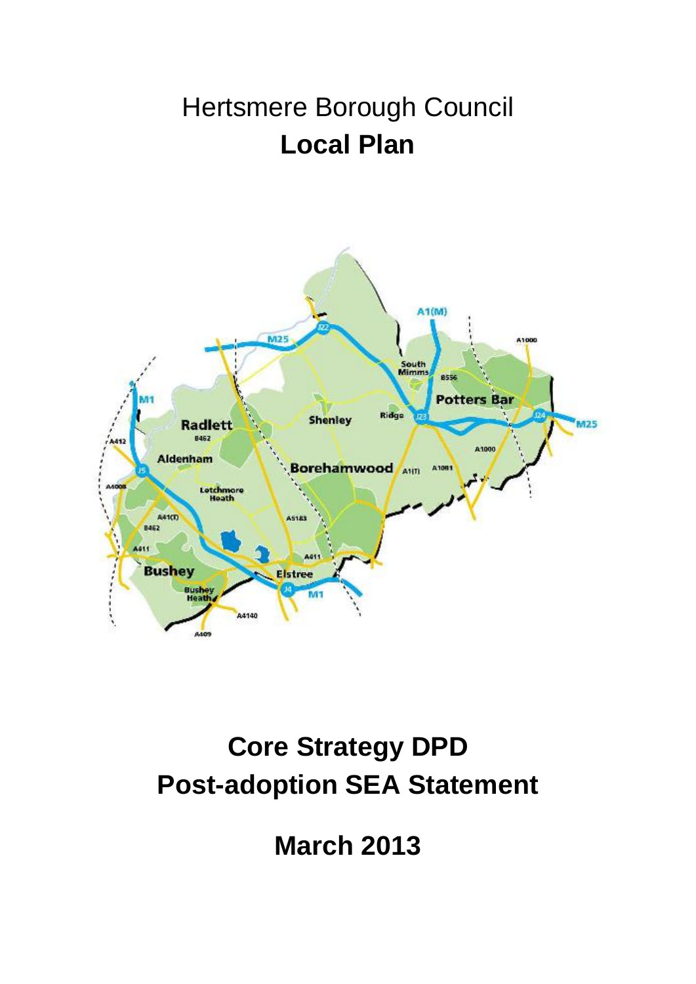## Hertsmere Borough Council **Local Plan**



# **Core Strategy DPD Post-adoption SEA Statement**

**March 2013**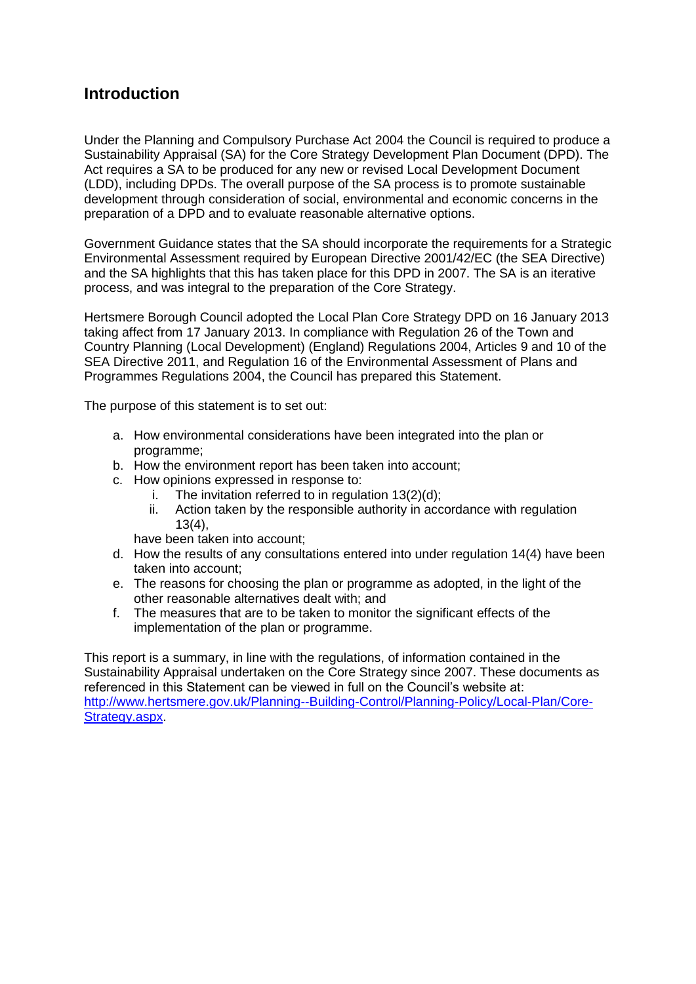## **Introduction**

Under the Planning and Compulsory Purchase Act 2004 the Council is required to produce a Sustainability Appraisal (SA) for the Core Strategy Development Plan Document (DPD). The Act requires a SA to be produced for any new or revised Local Development Document (LDD), including DPDs. The overall purpose of the SA process is to promote sustainable development through consideration of social, environmental and economic concerns in the preparation of a DPD and to evaluate reasonable alternative options.

Government Guidance states that the SA should incorporate the requirements for a Strategic Environmental Assessment required by European Directive 2001/42/EC (the SEA Directive) and the SA highlights that this has taken place for this DPD in 2007. The SA is an iterative process, and was integral to the preparation of the Core Strategy.

Hertsmere Borough Council adopted the Local Plan Core Strategy DPD on 16 January 2013 taking affect from 17 January 2013. In compliance with Regulation 26 of the Town and Country Planning (Local Development) (England) Regulations 2004, Articles 9 and 10 of the SEA Directive 2011, and Regulation 16 of the Environmental Assessment of Plans and Programmes Regulations 2004, the Council has prepared this Statement.

The purpose of this statement is to set out:

- a. How environmental considerations have been integrated into the plan or programme;
- b. How the environment report has been taken into account;
- c. How opinions expressed in response to:
	- i. The invitation referred to in regulation 13(2)(d);
	- ii. Action taken by the responsible authority in accordance with regulation 13(4),

have been taken into account;

- d. How the results of any consultations entered into under regulation 14(4) have been taken into account;
- e. The reasons for choosing the plan or programme as adopted, in the light of the other reasonable alternatives dealt with; and
- f. The measures that are to be taken to monitor the significant effects of the implementation of the plan or programme.

This report is a summary, in line with the regulations, of information contained in the Sustainability Appraisal undertaken on the Core Strategy since 2007. These documents as referenced in this Statement can be viewed in full on the Council's website at: [http://www.hertsmere.gov.uk/Planning--Building-Control/Planning-Policy/Local-Plan/Core-](http://www.hertsmere.gov.uk/Planning--Building-Control/Planning-Policy/Local-Plan/Core-Strategy.aspx)[Strategy.aspx.](http://www.hertsmere.gov.uk/Planning--Building-Control/Planning-Policy/Local-Plan/Core-Strategy.aspx)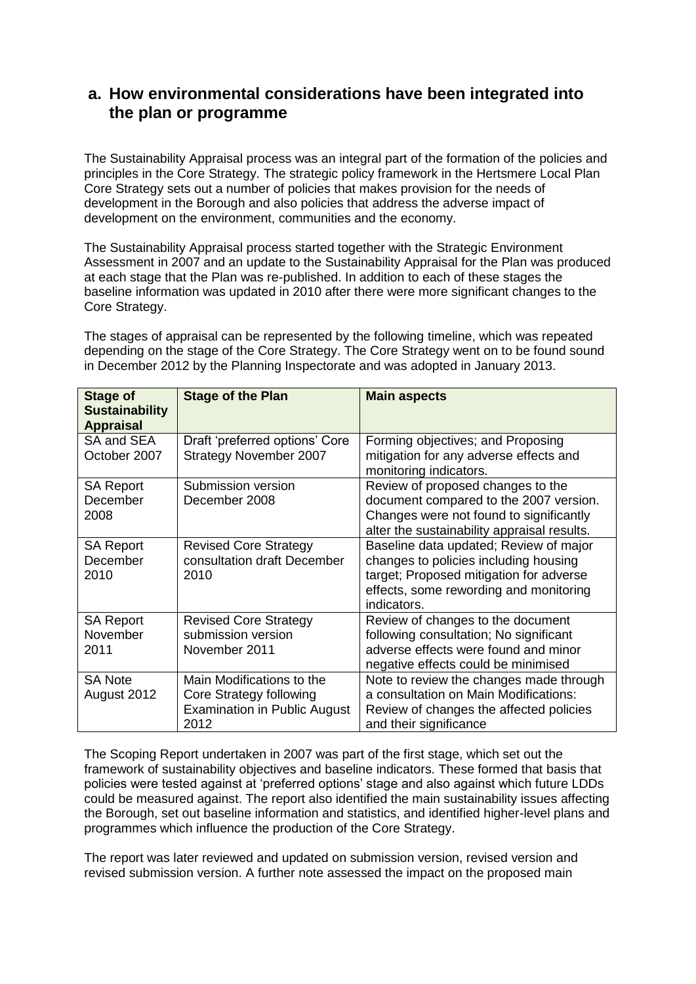## **a. How environmental considerations have been integrated into the plan or programme**

The Sustainability Appraisal process was an integral part of the formation of the policies and principles in the Core Strategy. The strategic policy framework in the Hertsmere Local Plan Core Strategy sets out a number of policies that makes provision for the needs of development in the Borough and also policies that address the adverse impact of development on the environment, communities and the economy.

The Sustainability Appraisal process started together with the Strategic Environment Assessment in 2007 and an update to the Sustainability Appraisal for the Plan was produced at each stage that the Plan was re-published. In addition to each of these stages the baseline information was updated in 2010 after there were more significant changes to the Core Strategy.

The stages of appraisal can be represented by the following timeline, which was repeated depending on the stage of the Core Strategy. The Core Strategy went on to be found sound in December 2012 by the Planning Inspectorate and was adopted in January 2013.

| <b>Stage of</b><br><b>Sustainability</b><br><b>Appraisal</b> | <b>Stage of the Plan</b>                                                                            | <b>Main aspects</b>                                                                                                                                                                 |
|--------------------------------------------------------------|-----------------------------------------------------------------------------------------------------|-------------------------------------------------------------------------------------------------------------------------------------------------------------------------------------|
| SA and SEA<br>October 2007                                   | Draft 'preferred options' Core<br>Strategy November 2007                                            | Forming objectives; and Proposing<br>mitigation for any adverse effects and<br>monitoring indicators.                                                                               |
| <b>SA Report</b><br>December<br>2008                         | Submission version<br>December 2008                                                                 | Review of proposed changes to the<br>document compared to the 2007 version.<br>Changes were not found to significantly<br>alter the sustainability appraisal results.               |
| <b>SA Report</b><br>December<br>2010                         | <b>Revised Core Strategy</b><br>consultation draft December<br>2010                                 | Baseline data updated; Review of major<br>changes to policies including housing<br>target; Proposed mitigation for adverse<br>effects, some rewording and monitoring<br>indicators. |
| <b>SA Report</b><br>November<br>2011                         | <b>Revised Core Strategy</b><br>submission version<br>November 2011                                 | Review of changes to the document<br>following consultation; No significant<br>adverse effects were found and minor<br>negative effects could be minimised                          |
| <b>SA Note</b><br>August 2012                                | Main Modifications to the<br>Core Strategy following<br><b>Examination in Public August</b><br>2012 | Note to review the changes made through<br>a consultation on Main Modifications:<br>Review of changes the affected policies<br>and their significance                               |

The Scoping Report undertaken in 2007 was part of the first stage, which set out the framework of sustainability objectives and baseline indicators. These formed that basis that policies were tested against at 'preferred options' stage and also against which future LDDs could be measured against. The report also identified the main sustainability issues affecting the Borough, set out baseline information and statistics, and identified higher-level plans and programmes which influence the production of the Core Strategy.

The report was later reviewed and updated on submission version, revised version and revised submission version. A further note assessed the impact on the proposed main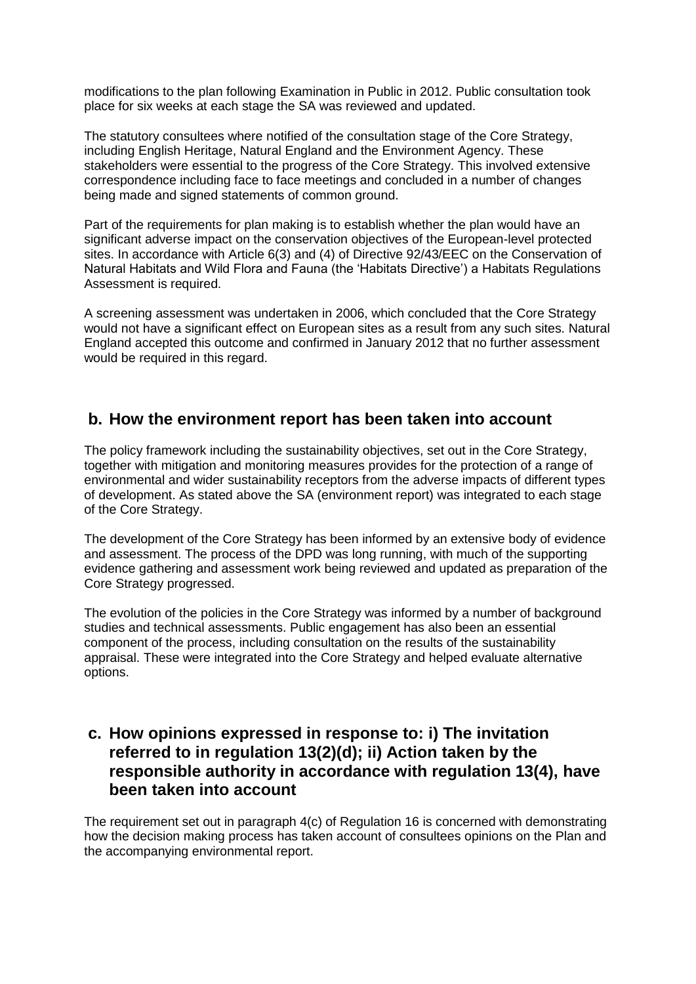modifications to the plan following Examination in Public in 2012. Public consultation took place for six weeks at each stage the SA was reviewed and updated.

The statutory consultees where notified of the consultation stage of the Core Strategy, including English Heritage, Natural England and the Environment Agency. These stakeholders were essential to the progress of the Core Strategy. This involved extensive correspondence including face to face meetings and concluded in a number of changes being made and signed statements of common ground.

Part of the requirements for plan making is to establish whether the plan would have an significant adverse impact on the conservation objectives of the European-level protected sites. In accordance with Article 6(3) and (4) of Directive 92/43/EEC on the Conservation of Natural Habitats and Wild Flora and Fauna (the 'Habitats Directive') a Habitats Regulations Assessment is required.

A screening assessment was undertaken in 2006, which concluded that the Core Strategy would not have a significant effect on European sites as a result from any such sites. Natural England accepted this outcome and confirmed in January 2012 that no further assessment would be required in this regard.

#### **b. How the environment report has been taken into account**

The policy framework including the sustainability objectives, set out in the Core Strategy, together with mitigation and monitoring measures provides for the protection of a range of environmental and wider sustainability receptors from the adverse impacts of different types of development. As stated above the SA (environment report) was integrated to each stage of the Core Strategy.

The development of the Core Strategy has been informed by an extensive body of evidence and assessment. The process of the DPD was long running, with much of the supporting evidence gathering and assessment work being reviewed and updated as preparation of the Core Strategy progressed.

The evolution of the policies in the Core Strategy was informed by a number of background studies and technical assessments. Public engagement has also been an essential component of the process, including consultation on the results of the sustainability appraisal. These were integrated into the Core Strategy and helped evaluate alternative options.

## **c. How opinions expressed in response to: i) The invitation referred to in regulation 13(2)(d); ii) Action taken by the responsible authority in accordance with regulation 13(4), have been taken into account**

The requirement set out in paragraph 4(c) of Regulation 16 is concerned with demonstrating how the decision making process has taken account of consultees opinions on the Plan and the accompanying environmental report.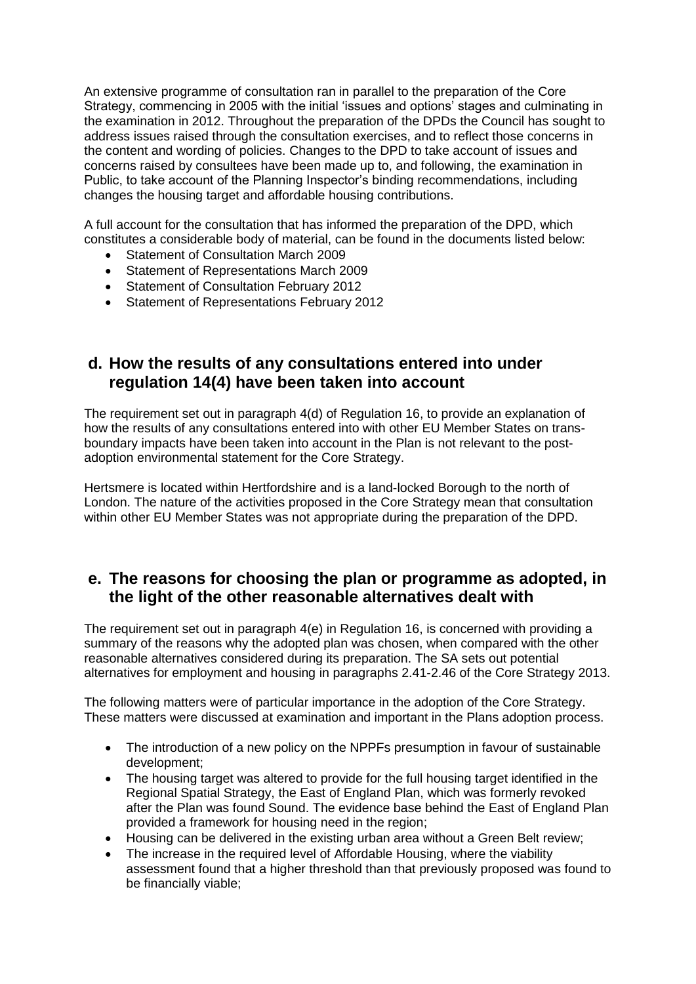An extensive programme of consultation ran in parallel to the preparation of the Core Strategy, commencing in 2005 with the initial 'issues and options' stages and culminating in the examination in 2012. Throughout the preparation of the DPDs the Council has sought to address issues raised through the consultation exercises, and to reflect those concerns in the content and wording of policies. Changes to the DPD to take account of issues and concerns raised by consultees have been made up to, and following, the examination in Public, to take account of the Planning Inspector's binding recommendations, including changes the housing target and affordable housing contributions.

A full account for the consultation that has informed the preparation of the DPD, which constitutes a considerable body of material, can be found in the documents listed below:

- Statement of Consultation March 2009
- Statement of Representations March 2009
- **•** Statement of Consultation February 2012
- **Statement of Representations February 2012**

#### **d. How the results of any consultations entered into under regulation 14(4) have been taken into account**

The requirement set out in paragraph 4(d) of Regulation 16, to provide an explanation of how the results of any consultations entered into with other EU Member States on transboundary impacts have been taken into account in the Plan is not relevant to the postadoption environmental statement for the Core Strategy.

Hertsmere is located within Hertfordshire and is a land-locked Borough to the north of London. The nature of the activities proposed in the Core Strategy mean that consultation within other EU Member States was not appropriate during the preparation of the DPD.

## **e. The reasons for choosing the plan or programme as adopted, in the light of the other reasonable alternatives dealt with**

The requirement set out in paragraph 4(e) in Regulation 16, is concerned with providing a summary of the reasons why the adopted plan was chosen, when compared with the other reasonable alternatives considered during its preparation. The SA sets out potential alternatives for employment and housing in paragraphs 2.41-2.46 of the Core Strategy 2013.

The following matters were of particular importance in the adoption of the Core Strategy. These matters were discussed at examination and important in the Plans adoption process.

- The introduction of a new policy on the NPPFs presumption in favour of sustainable development;
- The housing target was altered to provide for the full housing target identified in the Regional Spatial Strategy, the East of England Plan, which was formerly revoked after the Plan was found Sound. The evidence base behind the East of England Plan provided a framework for housing need in the region;
- Housing can be delivered in the existing urban area without a Green Belt review;
- The increase in the required level of Affordable Housing, where the viability assessment found that a higher threshold than that previously proposed was found to be financially viable;